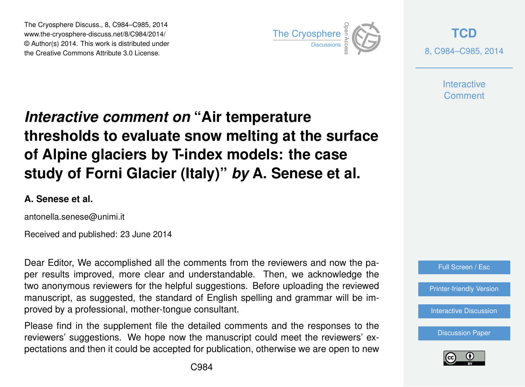The Cryosphere Discuss., 8, C984–C985, 2014 www.the-cryosphere-discuss.net/8/C984/2014/ © Author(s) 2014. This work is distributed under The Cryosphere Discuss., 8, C984–C985, 2014<br>
www.the-cryosphere-discuss.net/8/C984/2014/<br>
© Author(s) 2014. This work is distributed under<br>
the Creative Commons Attribute 3.0 License.



**[TCD](http://www.the-cryosphere-discuss.net)** 8, C984–C985, 2014

> **Interactive** Comment

## *Interactive comment on* **"Air temperature thresholds to evaluate snow melting at the surface of Alpine glaciers by T-index models: the case study of Forni Glacier (Italy)"** *by* **A. Senese et al.**

## **A. Senese et al.**

antonella.senese@unimi.it

Received and published: 23 June 2014

Dear Editor, We accomplished all the comments from the reviewers and now the paper results improved, more clear and understandable. Then, we acknowledge the two anonymous reviewers for the helpful suggestions. Before uploading the reviewed manuscript, as suggested, the standard of English spelling and grammar will be improved by a professional, mother-tongue consultant.

Please find in the supplement file the detailed comments and the responses to the reviewers' suggestions. We hope now the manuscript could meet the reviewers' expectations and then it could be accepted for publication, otherwise we are open to new